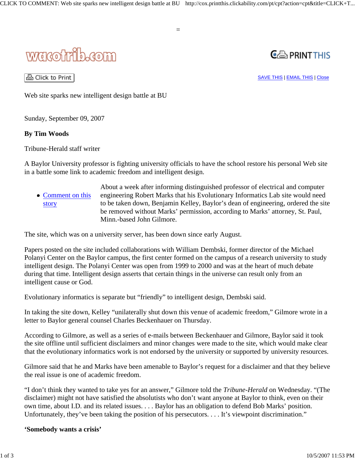

△ Click to Print

 $\mathbf{C} \oplus \mathbf{PRINTTHIS}$ 

SAVE THIS | EMAIL THIS | Close

Web site sparks new intelligent design battle at BU

Sunday, September 09, 2007

# **By Tim Woods**

Tribune-Herald staff writer

A Baylor University professor is fighting university officials to have the school restore his personal Web site in a battle some link to academic freedom and intelligent design.

=

• Comment on this story About a week after informing distinguished professor of electrical and computer engineering Robert Marks that his Evolutionary Informatics Lab site would need to be taken down, Benjamin Kelley, Baylor's dean of engineering, ordered the site be removed without Marks' permission, according to Marks' attorney, St. Paul, Minn.-based John Gilmore.

The site, which was on a university server, has been down since early August.

Papers posted on the site included collaborations with William Dembski, former director of the Michael Polanyi Center on the Baylor campus, the first center formed on the campus of a research university to study intelligent design. The Polanyi Center was open from 1999 to 2000 and was at the heart of much debate during that time. Intelligent design asserts that certain things in the universe can result only from an intelligent cause or God.

Evolutionary informatics is separate but "friendly" to intelligent design, Dembski said.

In taking the site down, Kelley "unilaterally shut down this venue of academic freedom," Gilmore wrote in a letter to Baylor general counsel Charles Beckenhauer on Thursday.

According to Gilmore, as well as a series of e-mails between Beckenhauer and Gilmore, Baylor said it took the site offline until sufficient disclaimers and minor changes were made to the site, which would make clear that the evolutionary informatics work is not endorsed by the university or supported by university resources.

Gilmore said that he and Marks have been amenable to Baylor's request for a disclaimer and that they believe the real issue is one of academic freedom.

"I don't think they wanted to take yes for an answer," Gilmore told the *Tribune-Herald* on Wednesday. "(The disclaimer) might not have satisfied the absolutists who don't want anyone at Baylor to think, even on their own time, about I.D. and its related issues. . . . Baylor has an obligation to defend Bob Marks' position. Unfortunately, they've been taking the position of his persecutors. . . . It's viewpoint discrimination."

## **'Somebody wants a crisis'**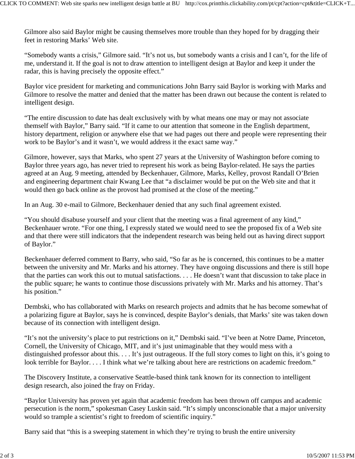Gilmore also said Baylor might be causing themselves more trouble than they hoped for by dragging their feet in restoring Marks' Web site.

"Somebody wants a crisis," Gilmore said. "It's not us, but somebody wants a crisis and I can't, for the life of me, understand it. If the goal is not to draw attention to intelligent design at Baylor and keep it under the radar, this is having precisely the opposite effect."

Baylor vice president for marketing and communications John Barry said Baylor is working with Marks and Gilmore to resolve the matter and denied that the matter has been drawn out because the content is related to intelligent design.

"The entire discussion to date has dealt exclusively with by what means one may or may not associate themself with Baylor," Barry said. "If it came to our attention that someone in the English department, history department, religion or anywhere else that we had pages out there and people were representing their work to be Baylor's and it wasn't, we would address it the exact same way."

Gilmore, however, says that Marks, who spent 27 years at the University of Washington before coming to Baylor three years ago, has never tried to represent his work as being Baylor-related. He says the parties agreed at an Aug. 9 meeting, attended by Beckenhauer, Gilmore, Marks, Kelley, provost Randall O'Brien and engineering department chair Kwang Lee that "a disclaimer would be put on the Web site and that it would then go back online as the provost had promised at the close of the meeting."

In an Aug. 30 e-mail to Gilmore, Beckenhauer denied that any such final agreement existed.

"You should disabuse yourself and your client that the meeting was a final agreement of any kind," Beckenhauer wrote. "For one thing, I expressly stated we would need to see the proposed fix of a Web site and that there were still indicators that the independent research was being held out as having direct support of Baylor."

Beckenhauer deferred comment to Barry, who said, "So far as he is concerned, this continues to be a matter between the university and Mr. Marks and his attorney. They have ongoing discussions and there is still hope that the parties can work this out to mutual satisfactions. . . . He doesn't want that discussion to take place in the public square; he wants to continue those discussions privately with Mr. Marks and his attorney. That's his position."

Dembski, who has collaborated with Marks on research projects and admits that he has become somewhat of a polarizing figure at Baylor, says he is convinced, despite Baylor's denials, that Marks' site was taken down because of its connection with intelligent design.

"It's not the university's place to put restrictions on it," Dembski said. "I've been at Notre Dame, Princeton, Cornell, the University of Chicago, MIT, and it's just unimaginable that they would mess with a distinguished professor about this. . . . It's just outrageous. If the full story comes to light on this, it's going to look terrible for Baylor. . . . I think what we're talking about here are restrictions on academic freedom."

The Discovery Institute, a conservative Seattle-based think tank known for its connection to intelligent design research, also joined the fray on Friday.

"Baylor University has proven yet again that academic freedom has been thrown off campus and academic persecution is the norm," spokesman Casey Luskin said. "It's simply unconscionable that a major university would so trample a scientist's right to freedom of scientific inquiry."

Barry said that "this is a sweeping statement in which they're trying to brush the entire university